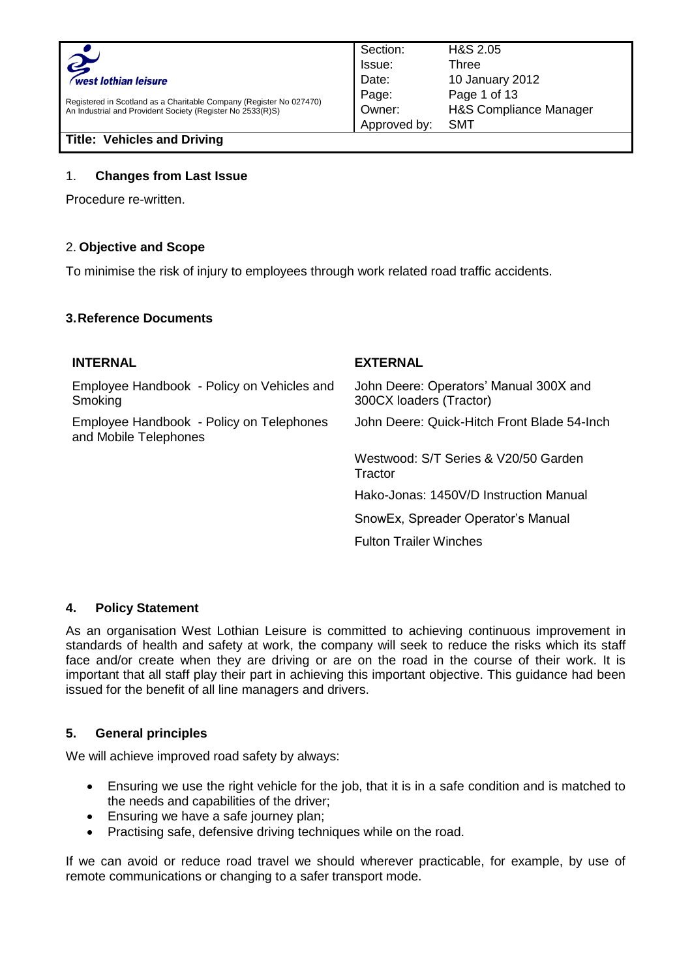

Registered in Scotland as a Charitable Company (Register No 027470) An Industrial and Provident Society (Register No 2533(R)S)

**Title: Vehicles and Driving**

#### 1. **Changes from Last Issue**

Procedure re-written.

### 2. **Objective and Scope**

To minimise the risk of injury to employees through work related road traffic accidents.

#### **3.Reference Documents**

#### **INTERNAL EXTERNAL** Employee Handbook - Policy on Vehicles and **Smoking** John Deere: Operators' Manual 300X and 300CX loaders (Tractor) Employee Handbook - Policy on Telephones and Mobile Telephones John Deere: Quick-Hitch Front Blade 54-Inch Westwood: S/T Series & V20/50 Garden **Tractor** Hako-Jonas: 1450V/D Instruction Manual SnowEx, Spreader Operator's Manual Fulton Trailer Winches

#### **4. Policy Statement**

As an organisation West Lothian Leisure is committed to achieving continuous improvement in standards of health and safety at work, the company will seek to reduce the risks which its staff face and/or create when they are driving or are on the road in the course of their work. It is important that all staff play their part in achieving this important objective. This guidance had been issued for the benefit of all line managers and drivers.

#### **5. General principles**

We will achieve improved road safety by always:

- Ensuring we use the right vehicle for the job, that it is in a safe condition and is matched to the needs and capabilities of the driver;
- Ensuring we have a safe journey plan;
- Practising safe, defensive driving techniques while on the road.

If we can avoid or reduce road travel we should wherever practicable, for example, by use of remote communications or changing to a safer transport mode.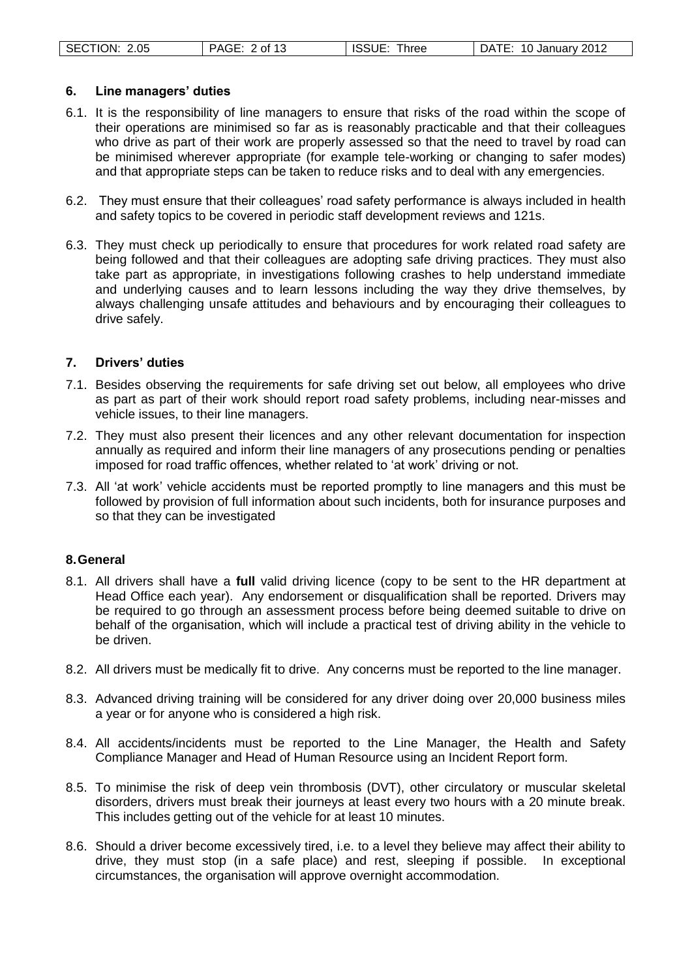| SECTION: 2.05 | PAGE: 2 of 13 | <b>ISSUE: Three</b> | DATE: 10 January 2012 |
|---------------|---------------|---------------------|-----------------------|
|               |               |                     |                       |

#### **6. Line managers' duties**

- 6.1. It is the responsibility of line managers to ensure that risks of the road within the scope of their operations are minimised so far as is reasonably practicable and that their colleagues who drive as part of their work are properly assessed so that the need to travel by road can be minimised wherever appropriate (for example tele-working or changing to safer modes) and that appropriate steps can be taken to reduce risks and to deal with any emergencies.
- 6.2. They must ensure that their colleagues' road safety performance is always included in health and safety topics to be covered in periodic staff development reviews and 121s.
- 6.3. They must check up periodically to ensure that procedures for work related road safety are being followed and that their colleagues are adopting safe driving practices. They must also take part as appropriate, in investigations following crashes to help understand immediate and underlying causes and to learn lessons including the way they drive themselves, by always challenging unsafe attitudes and behaviours and by encouraging their colleagues to drive safely.

#### **7. Drivers' duties**

- 7.1. Besides observing the requirements for safe driving set out below, all employees who drive as part as part of their work should report road safety problems, including near-misses and vehicle issues, to their line managers.
- 7.2. They must also present their licences and any other relevant documentation for inspection annually as required and inform their line managers of any prosecutions pending or penalties imposed for road traffic offences, whether related to 'at work' driving or not.
- 7.3. All 'at work' vehicle accidents must be reported promptly to line managers and this must be followed by provision of full information about such incidents, both for insurance purposes and so that they can be investigated

#### **8.General**

- 8.1. All drivers shall have a **full** valid driving licence (copy to be sent to the HR department at Head Office each year). Any endorsement or disqualification shall be reported. Drivers may be required to go through an assessment process before being deemed suitable to drive on behalf of the organisation, which will include a practical test of driving ability in the vehicle to be driven.
- 8.2. All drivers must be medically fit to drive. Any concerns must be reported to the line manager.
- 8.3. Advanced driving training will be considered for any driver doing over 20,000 business miles a year or for anyone who is considered a high risk.
- 8.4. All accidents/incidents must be reported to the Line Manager, the Health and Safety Compliance Manager and Head of Human Resource using an Incident Report form.
- 8.5. To minimise the risk of deep vein thrombosis (DVT), other circulatory or muscular skeletal disorders, drivers must break their journeys at least every two hours with a 20 minute break. This includes getting out of the vehicle for at least 10 minutes.
- 8.6. Should a driver become excessively tired, i.e. to a level they believe may affect their ability to drive, they must stop (in a safe place) and rest, sleeping if possible. In exceptional circumstances, the organisation will approve overnight accommodation.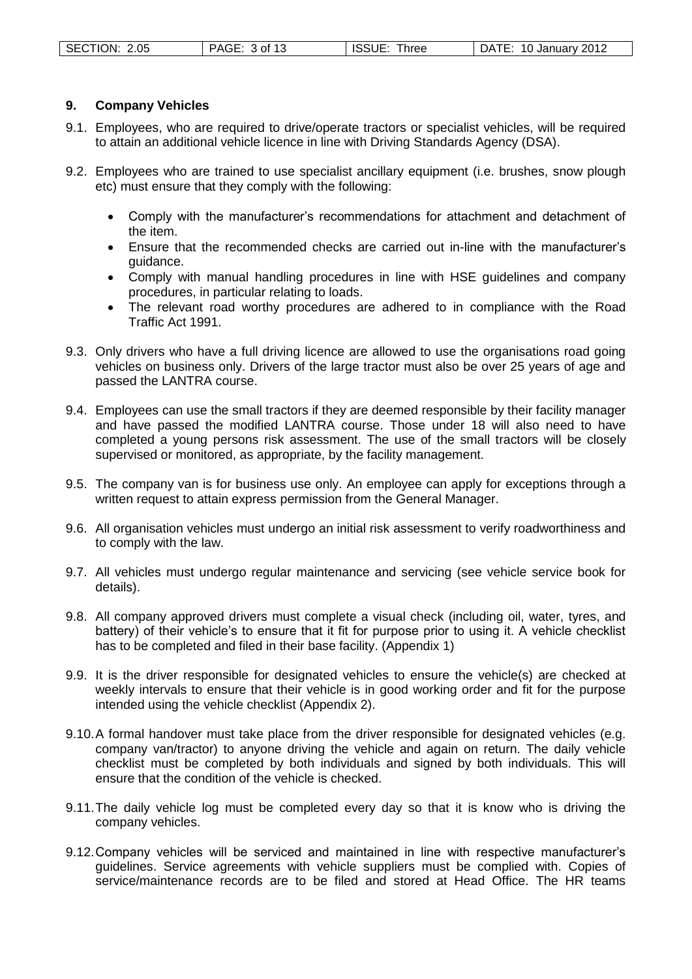#### **9. Company Vehicles**

- 9.1. Employees, who are required to drive/operate tractors or specialist vehicles, will be required to attain an additional vehicle licence in line with Driving Standards Agency (DSA).
- 9.2. Employees who are trained to use specialist ancillary equipment (i.e. brushes, snow plough etc) must ensure that they comply with the following:
	- Comply with the manufacturer's recommendations for attachment and detachment of the item.
	- Ensure that the recommended checks are carried out in-line with the manufacturer's guidance.
	- Comply with manual handling procedures in line with HSE guidelines and company procedures, in particular relating to loads.
	- The relevant road worthy procedures are adhered to in compliance with the Road Traffic Act 1991.
- 9.3. Only drivers who have a full driving licence are allowed to use the organisations road going vehicles on business only. Drivers of the large tractor must also be over 25 years of age and passed the LANTRA course.
- 9.4. Employees can use the small tractors if they are deemed responsible by their facility manager and have passed the modified LANTRA course. Those under 18 will also need to have completed a young persons risk assessment. The use of the small tractors will be closely supervised or monitored, as appropriate, by the facility management.
- 9.5. The company van is for business use only. An employee can apply for exceptions through a written request to attain express permission from the General Manager.
- 9.6. All organisation vehicles must undergo an initial risk assessment to verify roadworthiness and to comply with the law.
- 9.7. All vehicles must undergo regular maintenance and servicing (see vehicle service book for details).
- 9.8. All company approved drivers must complete a visual check (including oil, water, tyres, and battery) of their vehicle's to ensure that it fit for purpose prior to using it. A vehicle checklist has to be completed and filed in their base facility. (Appendix 1)
- 9.9. It is the driver responsible for designated vehicles to ensure the vehicle(s) are checked at weekly intervals to ensure that their vehicle is in good working order and fit for the purpose intended using the vehicle checklist (Appendix 2).
- 9.10.A formal handover must take place from the driver responsible for designated vehicles (e.g. company van/tractor) to anyone driving the vehicle and again on return. The daily vehicle checklist must be completed by both individuals and signed by both individuals. This will ensure that the condition of the vehicle is checked.
- 9.11.The daily vehicle log must be completed every day so that it is know who is driving the company vehicles.
- 9.12.Company vehicles will be serviced and maintained in line with respective manufacturer's guidelines. Service agreements with vehicle suppliers must be complied with. Copies of service/maintenance records are to be filed and stored at Head Office. The HR teams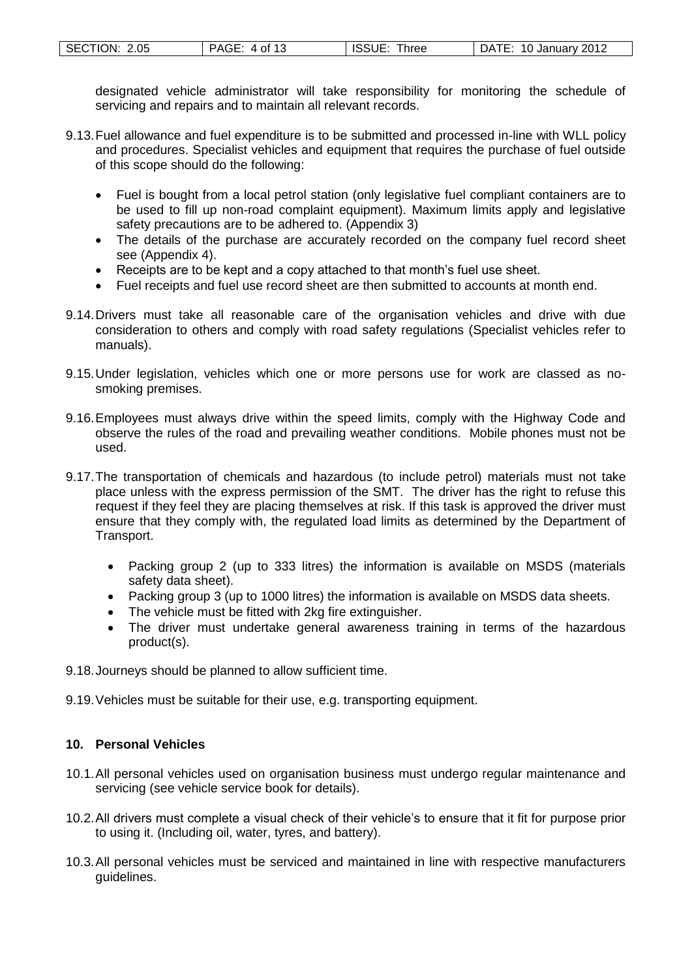| SECTION: 2.05 | PAGE:     | ISSUE:            | :10 Januarv 2012 |
|---------------|-----------|-------------------|------------------|
|               | . 4 of 13 | $n_{\text{hree}}$ | DATE:            |

designated vehicle administrator will take responsibility for monitoring the schedule of servicing and repairs and to maintain all relevant records.

- 9.13.Fuel allowance and fuel expenditure is to be submitted and processed in-line with WLL policy and procedures. Specialist vehicles and equipment that requires the purchase of fuel outside of this scope should do the following:
	- Fuel is bought from a local petrol station (only legislative fuel compliant containers are to be used to fill up non-road complaint equipment). Maximum limits apply and legislative safety precautions are to be adhered to. (Appendix 3)
	- The details of the purchase are accurately recorded on the company fuel record sheet see (Appendix 4).
	- Receipts are to be kept and a copy attached to that month's fuel use sheet.
	- Fuel receipts and fuel use record sheet are then submitted to accounts at month end.
- 9.14.Drivers must take all reasonable care of the organisation vehicles and drive with due consideration to others and comply with road safety regulations (Specialist vehicles refer to manuals).
- 9.15.Under legislation, vehicles which one or more persons use for work are classed as nosmoking premises.
- 9.16.Employees must always drive within the speed limits, comply with the Highway Code and observe the rules of the road and prevailing weather conditions. Mobile phones must not be used.
- 9.17.The transportation of chemicals and hazardous (to include petrol) materials must not take place unless with the express permission of the SMT. The driver has the right to refuse this request if they feel they are placing themselves at risk. If this task is approved the driver must ensure that they comply with, the regulated load limits as determined by the Department of Transport.
	- Packing group 2 (up to 333 litres) the information is available on MSDS (materials safety data sheet).
	- Packing group 3 (up to 1000 litres) the information is available on MSDS data sheets.
	- The vehicle must be fitted with 2kg fire extinguisher.
	- The driver must undertake general awareness training in terms of the hazardous product(s).
- 9.18.Journeys should be planned to allow sufficient time.
- 9.19.Vehicles must be suitable for their use, e.g. transporting equipment.

### **10. Personal Vehicles**

- 10.1.All personal vehicles used on organisation business must undergo regular maintenance and servicing (see vehicle service book for details).
- 10.2.All drivers must complete a visual check of their vehicle's to ensure that it fit for purpose prior to using it. (Including oil, water, tyres, and battery).
- 10.3.All personal vehicles must be serviced and maintained in line with respective manufacturers guidelines.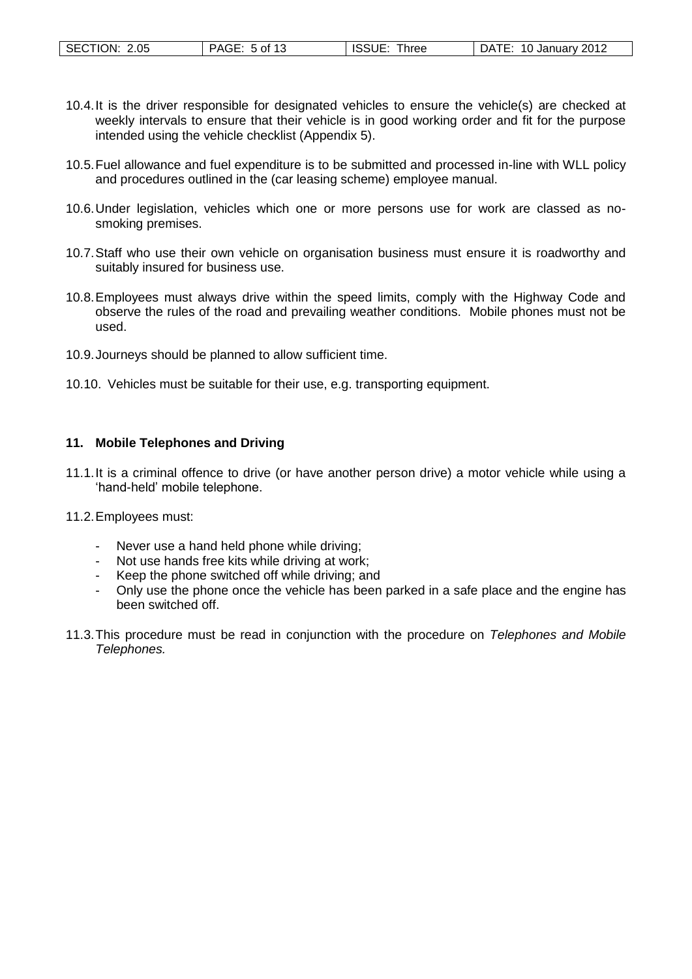| SECTION: 2.05 | PAGE: 5 of 13 | <b>ISSUE:</b><br><b>Three</b> | 10 January 2012<br>DATE: |
|---------------|---------------|-------------------------------|--------------------------|
|---------------|---------------|-------------------------------|--------------------------|

- 10.4.It is the driver responsible for designated vehicles to ensure the vehicle(s) are checked at weekly intervals to ensure that their vehicle is in good working order and fit for the purpose intended using the vehicle checklist (Appendix 5).
- 10.5.Fuel allowance and fuel expenditure is to be submitted and processed in-line with WLL policy and procedures outlined in the (car leasing scheme) employee manual.
- 10.6.Under legislation, vehicles which one or more persons use for work are classed as nosmoking premises.
- 10.7.Staff who use their own vehicle on organisation business must ensure it is roadworthy and suitably insured for business use.
- 10.8.Employees must always drive within the speed limits, comply with the Highway Code and observe the rules of the road and prevailing weather conditions. Mobile phones must not be used.
- 10.9.Journeys should be planned to allow sufficient time.
- 10.10. Vehicles must be suitable for their use, e.g. transporting equipment.

#### **11. Mobile Telephones and Driving**

- 11.1.It is a criminal offence to drive (or have another person drive) a motor vehicle while using a 'hand-held' mobile telephone.
- 11.2.Employees must:
	- Never use a hand held phone while driving;
	- Not use hands free kits while driving at work;
	- Keep the phone switched off while driving; and
	- Only use the phone once the vehicle has been parked in a safe place and the engine has been switched off.
- 11.3.This procedure must be read in conjunction with the procedure on *Telephones and Mobile Telephones.*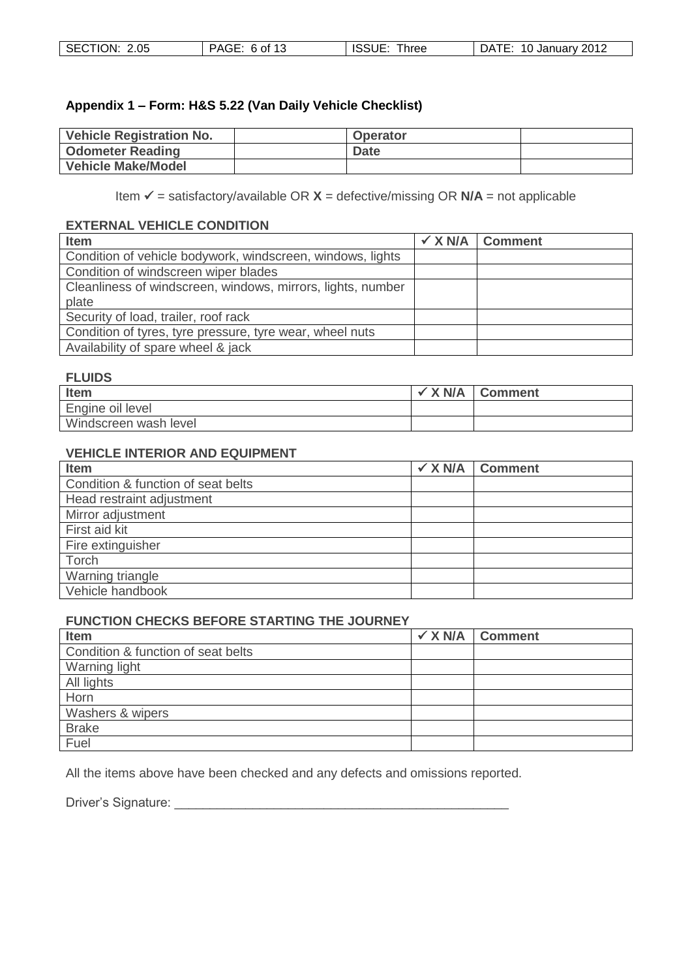| SECTION: 2.05 | <b>ISSUE</b> | 10 January 2012 |
|---------------|--------------|-----------------|
| PAGE: 6 of 13 | Three        | <b>DATE</b>     |

### **Appendix 1 – Form: H&S 5.22 (Van Daily Vehicle Checklist)**

| <b>Vehicle Registration No.</b> | <b>Operator</b> |  |
|---------------------------------|-----------------|--|
| <b>Odometer Reading</b>         | <b>Date</b>     |  |
| <b>Vehicle Make/Model</b>       |                 |  |

Item  $\checkmark$  = satisfactory/available OR  $X$  = defective/missing OR  $N/A$  = not applicable

### **EXTERNAL VEHICLE CONDITION**

| <b>Item</b>                                                 | $\checkmark$ X N/A $\checkmark$ Comment |
|-------------------------------------------------------------|-----------------------------------------|
| Condition of vehicle bodywork, windscreen, windows, lights  |                                         |
| Condition of windscreen wiper blades                        |                                         |
| Cleanliness of windscreen, windows, mirrors, lights, number |                                         |
| plate                                                       |                                         |
| Security of load, trailer, roof rack                        |                                         |
| Condition of tyres, tyre pressure, tyre wear, wheel nuts    |                                         |
| Availability of spare wheel & jack                          |                                         |

#### **FLUIDS**

| Item                  | X N/A | <b>Comment</b> |
|-----------------------|-------|----------------|
| Engine oil level      |       |                |
| Windscreen wash level |       |                |

### **VEHICLE INTERIOR AND EQUIPMENT**

| Item                               | $\checkmark$ X N/A Comment |
|------------------------------------|----------------------------|
| Condition & function of seat belts |                            |
| Head restraint adjustment          |                            |
| Mirror adjustment                  |                            |
| First aid kit                      |                            |
| Fire extinguisher                  |                            |
| Torch                              |                            |
| Warning triangle                   |                            |
| Vehicle handbook                   |                            |

#### **FUNCTION CHECKS BEFORE STARTING THE JOURNEY**

| Item                               | $\checkmark$ X N/A Comment |
|------------------------------------|----------------------------|
| Condition & function of seat belts |                            |
| Warning light                      |                            |
| All lights                         |                            |
| Horn                               |                            |
| Washers & wipers                   |                            |
| <b>Brake</b>                       |                            |
| Fuel                               |                            |

All the items above have been checked and any defects and omissions reported.

Driver's Signature: \_\_\_\_\_\_\_\_\_\_\_\_\_\_\_\_\_\_\_\_\_\_\_\_\_\_\_\_\_\_\_\_\_\_\_\_\_\_\_\_\_\_\_\_\_\_\_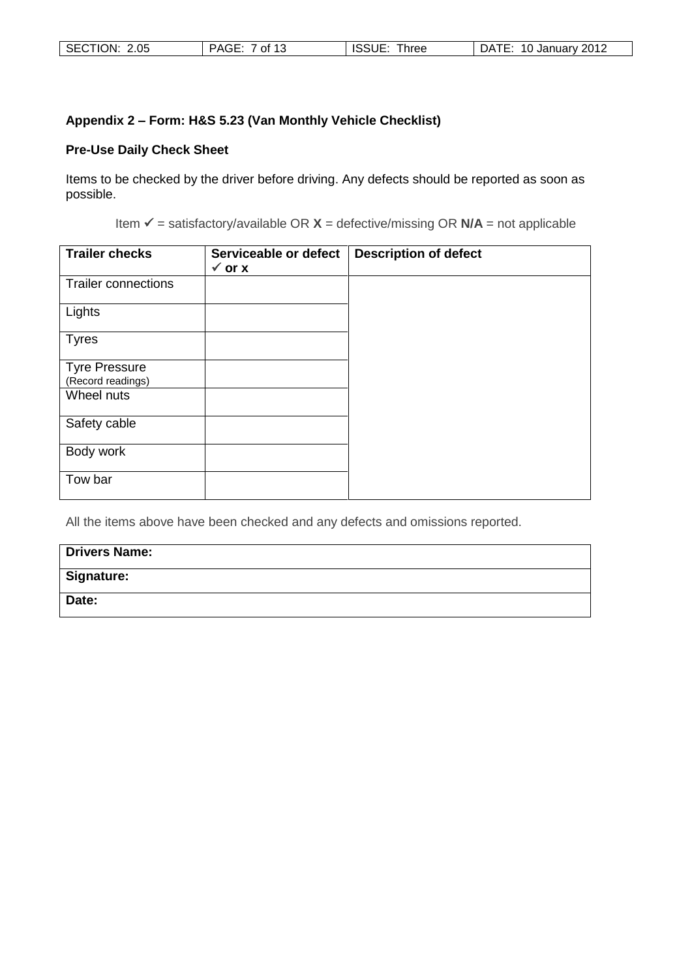| SECTION: 2.05 | PAGE:<br>- 1 2<br>7 of l | ISSUE<br>⊺hree | 10 January 2012<br>DATE: |
|---------------|--------------------------|----------------|--------------------------|
|---------------|--------------------------|----------------|--------------------------|

# **Appendix 2 – Form: H&S 5.23 (Van Monthly Vehicle Checklist)**

# **Pre-Use Daily Check Sheet**

Items to be checked by the driver before driving. Any defects should be reported as soon as possible.

Item  $\checkmark$  = satisfactory/available OR  $X$  = defective/missing OR  $N/A$  = not applicable

| <b>Trailer checks</b>                     | Serviceable or defect<br>$\checkmark$ or x | <b>Description of defect</b> |
|-------------------------------------------|--------------------------------------------|------------------------------|
| <b>Trailer connections</b>                |                                            |                              |
| Lights                                    |                                            |                              |
| <b>Tyres</b>                              |                                            |                              |
| <b>Tyre Pressure</b><br>(Record readings) |                                            |                              |
| Wheel nuts                                |                                            |                              |
| Safety cable                              |                                            |                              |
| Body work                                 |                                            |                              |
| Tow bar                                   |                                            |                              |

All the items above have been checked and any defects and omissions reported.

| <b>Drivers Name:</b> |
|----------------------|
| <b>Signature:</b>    |
| Date:                |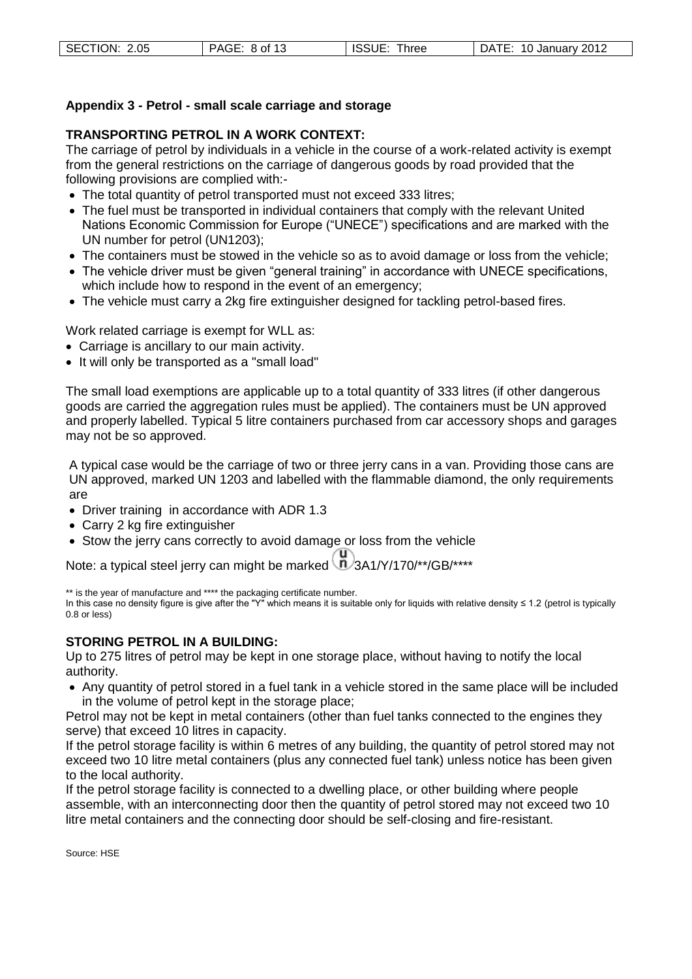#### **Appendix 3 - Petrol - small scale carriage and storage**

### **TRANSPORTING PETROL IN A WORK CONTEXT:**

The carriage of petrol by individuals in a vehicle in the course of a work-related activity is exempt from the general restrictions on the carriage of dangerous goods by road provided that the following provisions are complied with:-

- The total quantity of petrol transported must not exceed 333 litres;
- The fuel must be transported in individual containers that comply with the relevant United Nations Economic Commission for Europe ("UNECE") specifications and are marked with the UN number for petrol (UN1203);
- The containers must be stowed in the vehicle so as to avoid damage or loss from the vehicle;
- The vehicle driver must be given "general training" in accordance with UNECE specifications, which include how to respond in the event of an emergency;
- The vehicle must carry a 2kg fire extinguisher designed for tackling petrol-based fires.

Work related carriage is exempt for WLL as:

- Carriage is ancillary to our main activity.
- It will only be transported as a "small load"

The small load exemptions are applicable up to a total quantity of 333 litres (if other dangerous goods are carried the aggregation rules must be applied). The containers must be UN approved and properly labelled. Typical 5 litre containers purchased from car accessory shops and garages may not be so approved.

A typical case would be the carriage of two or three jerry cans in a van. Providing those cans are UN approved, marked UN 1203 and labelled with the flammable diamond, the only requirements are

- Driver training in accordance with ADR 1.3
- Carry 2 kg fire extinguisher
- Stow the jerry cans correctly to avoid damage or loss from the vehicle

Note: a typical steel jerry can might be marked  $\binom{1}{1}$ 3A1/Y/170/\*\*/GB/\*\*\*\*

\*\* is the year of manufacture and \*\*\*\* the packaging certificate number.

In this case no density figure is give after the "Y" which means it is suitable only for liquids with relative density ≤ 1.2 (petrol is typically 0.8 or less)

#### **STORING PETROL IN A BUILDING:**

Up to 275 litres of petrol may be kept in one storage place, without having to notify the local authority.

 Any quantity of petrol stored in a fuel tank in a vehicle stored in the same place will be included in the volume of petrol kept in the storage place;

Petrol may not be kept in metal containers (other than fuel tanks connected to the engines they serve) that exceed 10 litres in capacity.

If the petrol storage facility is within 6 metres of any building, the quantity of petrol stored may not exceed two 10 litre metal containers (plus any connected fuel tank) unless notice has been given to the local authority.

If the petrol storage facility is connected to a dwelling place, or other building where people assemble, with an interconnecting door then the quantity of petrol stored may not exceed two 10 litre metal containers and the connecting door should be self-closing and fire-resistant.

Source: HSE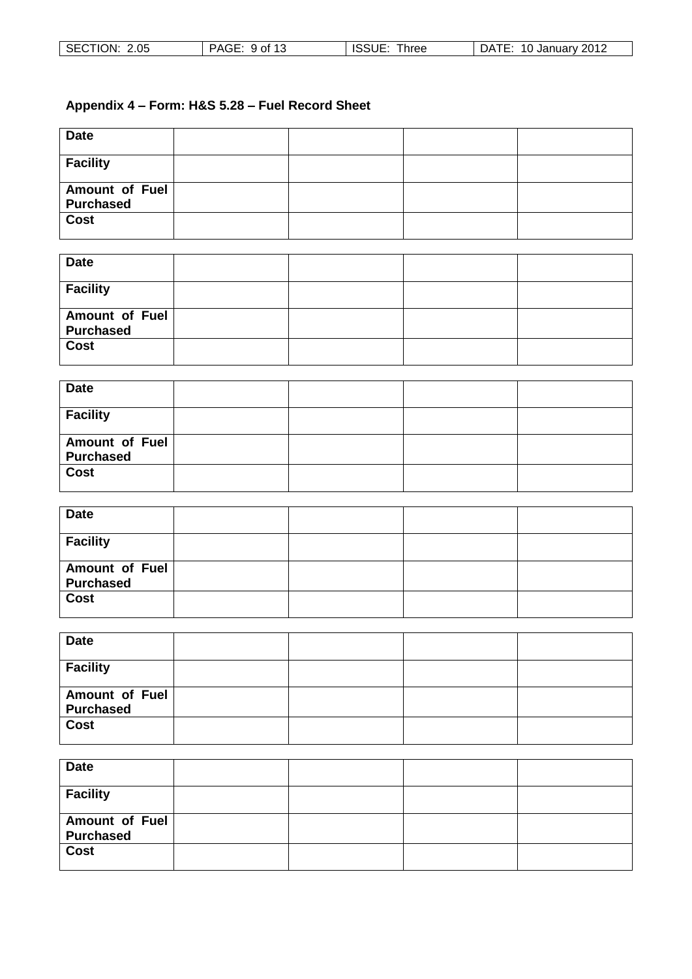| <b>SECTIC</b><br>2.05<br>.ON: | of 13<br><b>DAGI</b><br>סטו | ⊟ ISS∪∟.<br>hree | 2012<br>10<br>January <sup>2</sup><br>۱Δ<br>$\overline{\phantom{a}}$<br>ىر |
|-------------------------------|-----------------------------|------------------|----------------------------------------------------------------------------|

# **Appendix 4 – Form: H&S 5.28 – Fuel Record Sheet**

| <b>Date</b>                        |  |  |
|------------------------------------|--|--|
| <b>Facility</b>                    |  |  |
| Amount of Fuel<br><b>Purchased</b> |  |  |
| Cost                               |  |  |

| <b>Date</b>                        |  |  |
|------------------------------------|--|--|
| <b>Facility</b>                    |  |  |
| Amount of Fuel<br><b>Purchased</b> |  |  |
| <b>Cost</b>                        |  |  |

| <b>Date</b>                        |  |  |
|------------------------------------|--|--|
| <b>Facility</b>                    |  |  |
| Amount of Fuel<br><b>Purchased</b> |  |  |
| Cost                               |  |  |

| <b>Date</b>                        |  |  |
|------------------------------------|--|--|
| <b>Facility</b>                    |  |  |
| Amount of Fuel<br><b>Purchased</b> |  |  |
| $\overline{\text{Cost}}$           |  |  |

| <b>Date</b>                        |  |  |
|------------------------------------|--|--|
| <b>Facility</b>                    |  |  |
| Amount of Fuel<br><b>Purchased</b> |  |  |
| <b>Cost</b>                        |  |  |

| <b>Date</b>                        |  |  |
|------------------------------------|--|--|
| <b>Facility</b>                    |  |  |
| Amount of Fuel<br><b>Purchased</b> |  |  |
| <b>Cost</b>                        |  |  |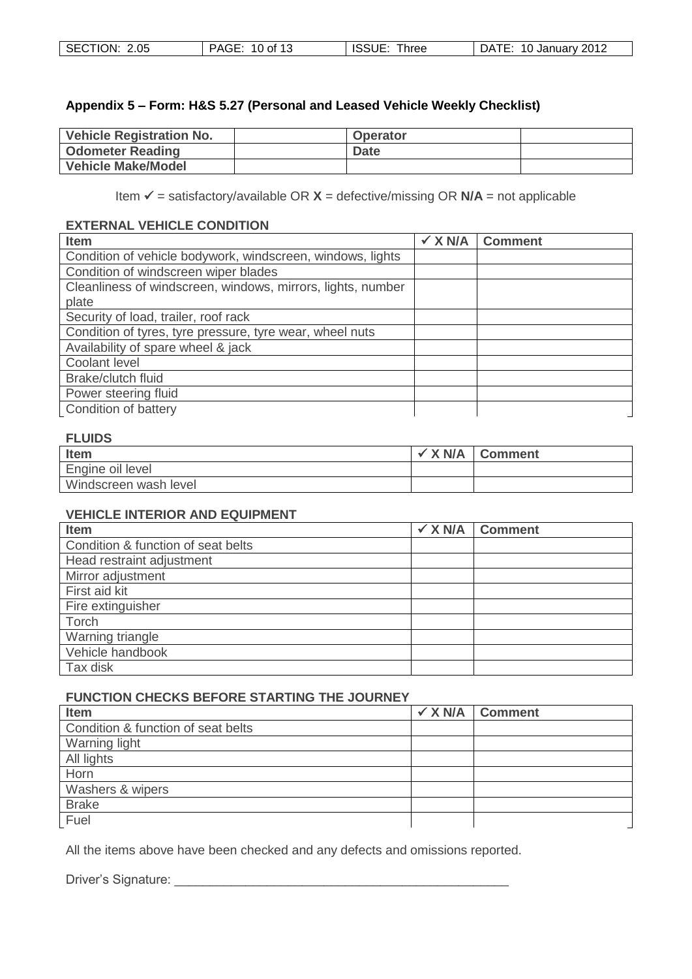#### **Appendix 5 – Form: H&S 5.27 (Personal and Leased Vehicle Weekly Checklist)**

| <b>Vehicle Registration No.</b> | <b>Operator</b> |  |
|---------------------------------|-----------------|--|
| <b>Odometer Reading</b>         | <b>Date</b>     |  |
| Vehicle Make/Model              |                 |  |

Item  $\checkmark$  = satisfactory/available OR  $X$  = defective/missing OR  $N/A$  = not applicable

#### **EXTERNAL VEHICLE CONDITION**

| <b>Item</b>                                                 | $\checkmark$ X N/A | <b>Comment</b> |
|-------------------------------------------------------------|--------------------|----------------|
| Condition of vehicle bodywork, windscreen, windows, lights  |                    |                |
| Condition of windscreen wiper blades                        |                    |                |
| Cleanliness of windscreen, windows, mirrors, lights, number |                    |                |
| plate                                                       |                    |                |
| Security of load, trailer, roof rack                        |                    |                |
| Condition of tyres, tyre pressure, tyre wear, wheel nuts    |                    |                |
| Availability of spare wheel & jack                          |                    |                |
| Coolant level                                               |                    |                |
| Brake/clutch fluid                                          |                    |                |
| Power steering fluid                                        |                    |                |
| Condition of battery                                        |                    |                |

### **FLUIDS**

| <b>Item</b>           | X <sub>N/A</sub> | <b>Comment</b> |
|-----------------------|------------------|----------------|
| Engine oil level      |                  |                |
| Windscreen wash level |                  |                |

#### **VEHICLE INTERIOR AND EQUIPMENT**

| Item                               | $\checkmark$ X N/A | <b>Comment</b> |
|------------------------------------|--------------------|----------------|
| Condition & function of seat belts |                    |                |
| Head restraint adjustment          |                    |                |
| Mirror adjustment                  |                    |                |
| First aid kit                      |                    |                |
| Fire extinguisher                  |                    |                |
| Torch                              |                    |                |
| Warning triangle                   |                    |                |
| Vehicle handbook                   |                    |                |
| Tax disk                           |                    |                |

#### **FUNCTION CHECKS BEFORE STARTING THE JOURNEY**

| Item                               | $\checkmark$ X N/A Comment |
|------------------------------------|----------------------------|
| Condition & function of seat belts |                            |
| Warning light                      |                            |
| All lights                         |                            |
| Horn                               |                            |
| Washers & wipers                   |                            |
| <b>Brake</b>                       |                            |
| Fuel                               |                            |

All the items above have been checked and any defects and omissions reported.

Driver's Signature: \_\_\_\_\_\_\_\_\_\_\_\_\_\_\_\_\_\_\_\_\_\_\_\_\_\_\_\_\_\_\_\_\_\_\_\_\_\_\_\_\_\_\_\_\_\_\_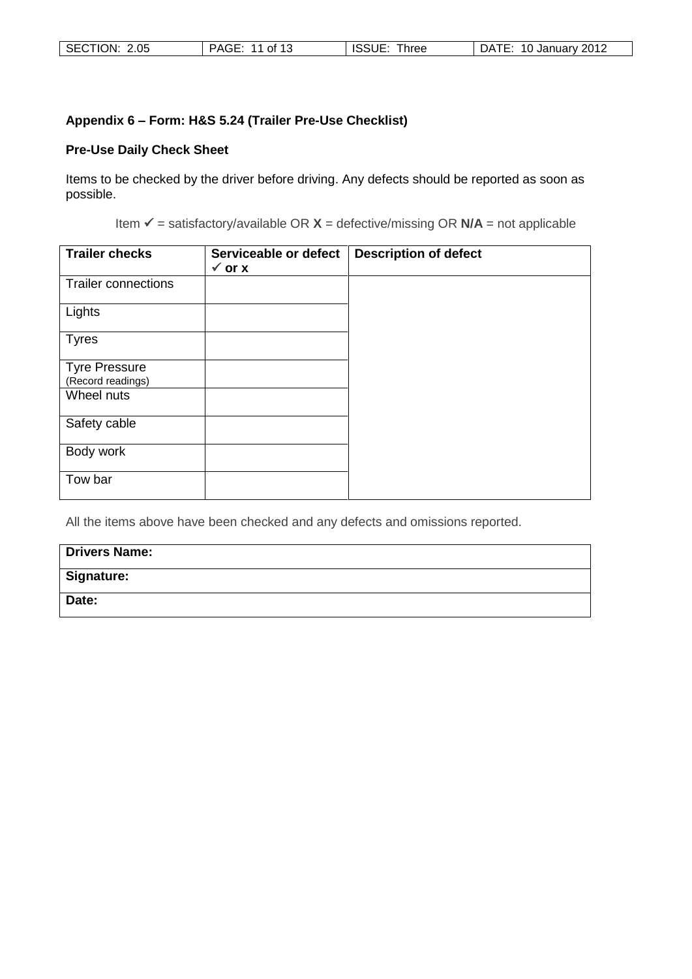| SECTION: 2.05 | PAGE: 11 of 13 | <b>ISSUE</b><br>Three | 10 January 2012<br>DATE: |
|---------------|----------------|-----------------------|--------------------------|
|---------------|----------------|-----------------------|--------------------------|

## **Appendix 6 – Form: H&S 5.24 (Trailer Pre-Use Checklist)**

# **Pre-Use Daily Check Sheet**

Items to be checked by the driver before driving. Any defects should be reported as soon as possible.

Item  $\checkmark$  = satisfactory/available OR  $X$  = defective/missing OR  $N/A$  = not applicable

| <b>Trailer checks</b>                     | Serviceable or defect<br>$\checkmark$ or x | <b>Description of defect</b> |
|-------------------------------------------|--------------------------------------------|------------------------------|
| <b>Trailer connections</b>                |                                            |                              |
| Lights                                    |                                            |                              |
| <b>Tyres</b>                              |                                            |                              |
| <b>Tyre Pressure</b><br>(Record readings) |                                            |                              |
| Wheel nuts                                |                                            |                              |
| Safety cable                              |                                            |                              |
| Body work                                 |                                            |                              |
| Tow bar                                   |                                            |                              |

All the items above have been checked and any defects and omissions reported.

| <b>Drivers Name:</b> |
|----------------------|
| <b>Signature:</b>    |
| Date:                |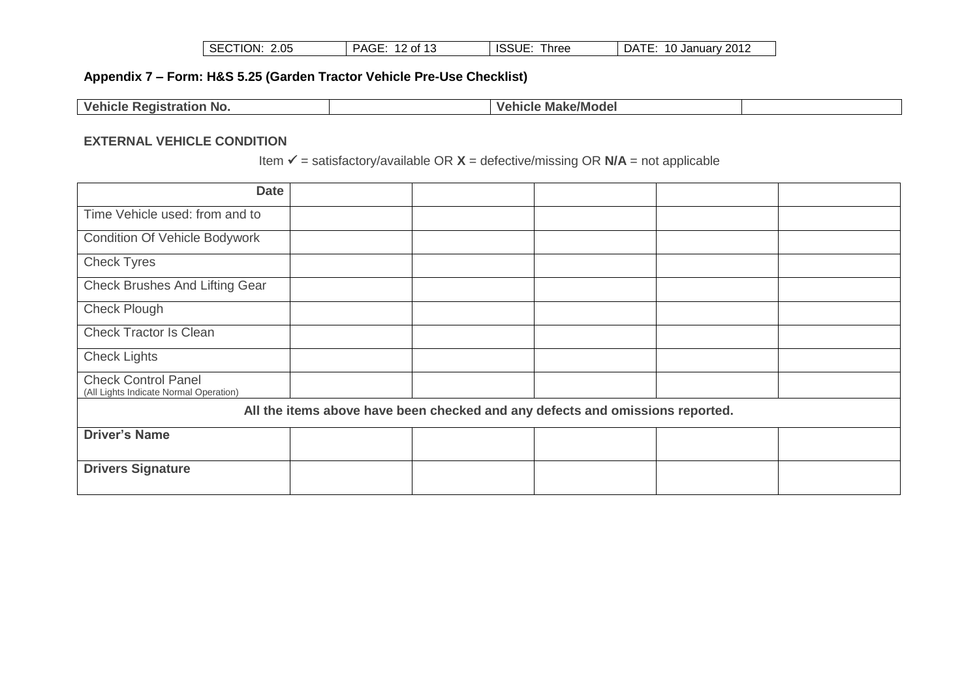| SECTION: 2.05<br>PAGE: 12 of 13 | ISSUE: Three | DATE: 10 January 2012 |
|---------------------------------|--------------|-----------------------|
|---------------------------------|--------------|-----------------------|

# **Appendix 7 – Form: H&S 5.25 (Garden Tractor Vehicle Pre-Use Checklist)**

| <b>Vehicle Registration No.</b> | <b>Make/Model</b><br>Vehicle |  |
|---------------------------------|------------------------------|--|

#### **EXTERNAL VEHICLE CONDITION**

Item  $\checkmark$  = satisfactory/available OR  $X$  = defective/missing OR  $N/A$  = not applicable

| <b>Date</b>                                                          |                                                                               |  |  |  |  |
|----------------------------------------------------------------------|-------------------------------------------------------------------------------|--|--|--|--|
| Time Vehicle used: from and to                                       |                                                                               |  |  |  |  |
| <b>Condition Of Vehicle Bodywork</b>                                 |                                                                               |  |  |  |  |
| <b>Check Tyres</b>                                                   |                                                                               |  |  |  |  |
| <b>Check Brushes And Lifting Gear</b>                                |                                                                               |  |  |  |  |
| <b>Check Plough</b>                                                  |                                                                               |  |  |  |  |
| <b>Check Tractor Is Clean</b>                                        |                                                                               |  |  |  |  |
| <b>Check Lights</b>                                                  |                                                                               |  |  |  |  |
| <b>Check Control Panel</b><br>(All Lights Indicate Normal Operation) |                                                                               |  |  |  |  |
|                                                                      | All the items above have been checked and any defects and omissions reported. |  |  |  |  |
| <b>Driver's Name</b>                                                 |                                                                               |  |  |  |  |
| <b>Drivers Signature</b>                                             |                                                                               |  |  |  |  |